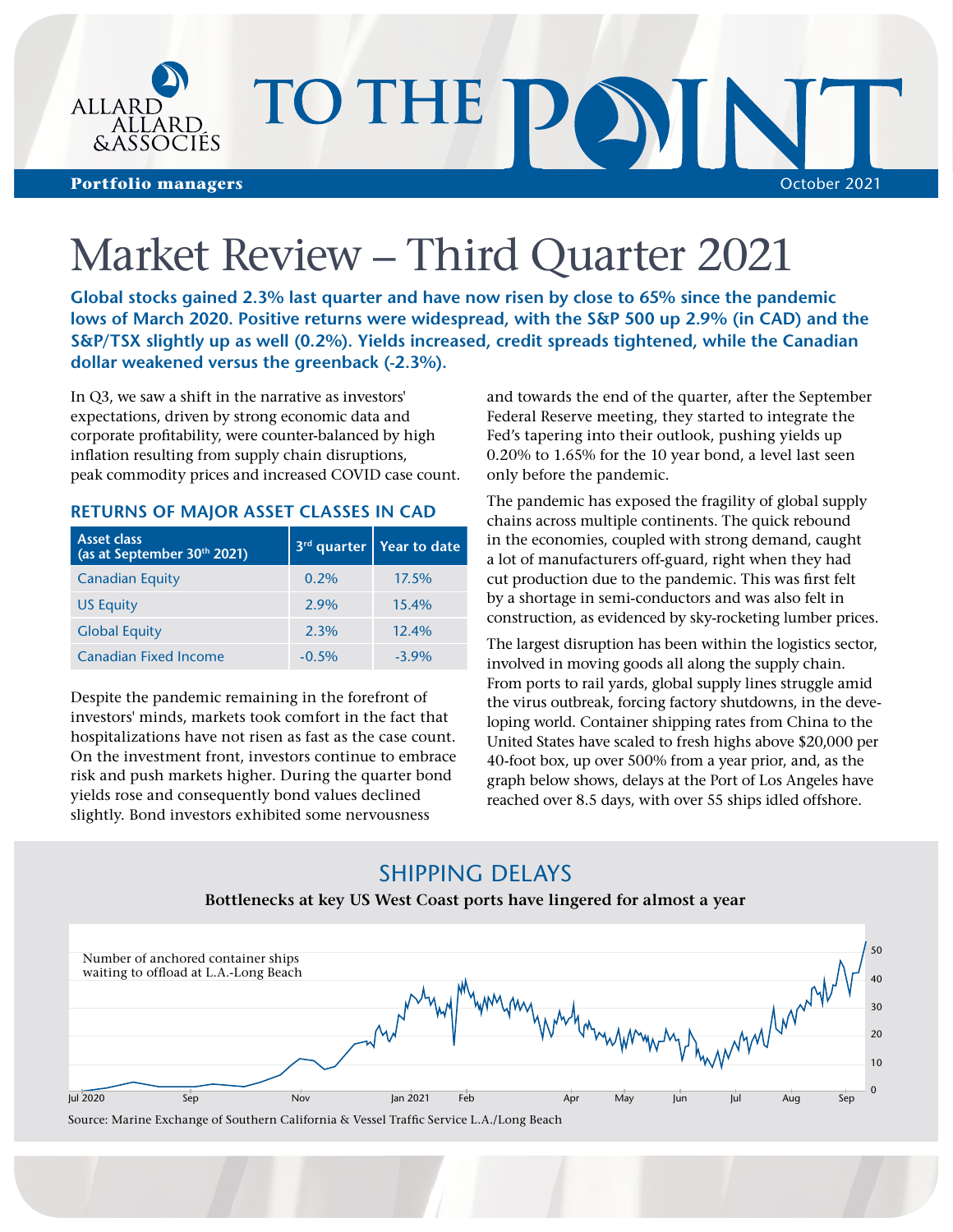

# Market Review – Third Quarter 2021

**Global stocks gained 2.3% last quarter and have now risen by close to 65% since the pandemic lows of March 2020. Positive returns were widespread, with the S&P 500 up 2.9% (in CAD) and the S&P/TSX slightly up as well (0.2%). Yields increased, credit spreads tightened, while the Canadian dollar weakened versus the greenback (-2.3%).**

In Q3, we saw a shift in the narrative as investors' expectations, driven by strong economic data and corporate profitability, were counter-balanced by high inflation resulting from supply chain disruptions, peak commodity prices and increased COVID case count.

## **RETURNS OF MAJOR ASSET CLASSES IN CAD**

| <b>Asset class</b><br>(as at September 30th 2021) |         | $3rd$ quarter   Year to date |
|---------------------------------------------------|---------|------------------------------|
| <b>Canadian Equity</b>                            | 0.2%    | 17.5%                        |
| <b>US Equity</b>                                  | $2.9\%$ | 15.4%                        |
| <b>Global Equity</b>                              | 2.3%    | 12.4%                        |
| <b>Canadian Fixed Income</b>                      | $-0.5%$ | $-3.9\%$                     |

Despite the pandemic remaining in the forefront of investors' minds, markets took comfort in the fact that hospitalizations have not risen as fast as the case count. On the investment front, investors continue to embrace risk and push markets higher. During the quarter bond yields rose and consequently bond values declined slightly. Bond investors exhibited some nervousness

and towards the end of the quarter, after the September Federal Reserve meeting, they started to integrate the Fed's tapering into their outlook, pushing yields up 0.20% to 1.65% for the 10 year bond, a level last seen only before the pandemic.

The pandemic has exposed the fragility of global supply chains across multiple continents. The quick rebound in the economies, coupled with strong demand, caught a lot of manufacturers off-guard, right when they had cut production due to the pandemic. This was first felt by a shortage in semi-conductors and was also felt in construction, as evidenced by sky-rocketing lumber prices.

The largest disruption has been within the logistics sector, involved in moving goods all along the supply chain. From ports to rail yards, global supply lines struggle amid the virus outbreak, forcing factory shutdowns, in the developing world. Container shipping rates from China to the United States have scaled to fresh highs above \$20,000 per 40-foot box, up over 500% from a year prior, and, as the graph below shows, delays at the Port of Los Angeles have reached over 8.5 days, with over 55 ships idled offshore.

## SHIPPING DELAYS



## **Bottlenecks at key US West Coast ports have lingered for almost a year**

Source: Marine Exchange of Southern California & Vessel Traffic Service L.A./Long Beach